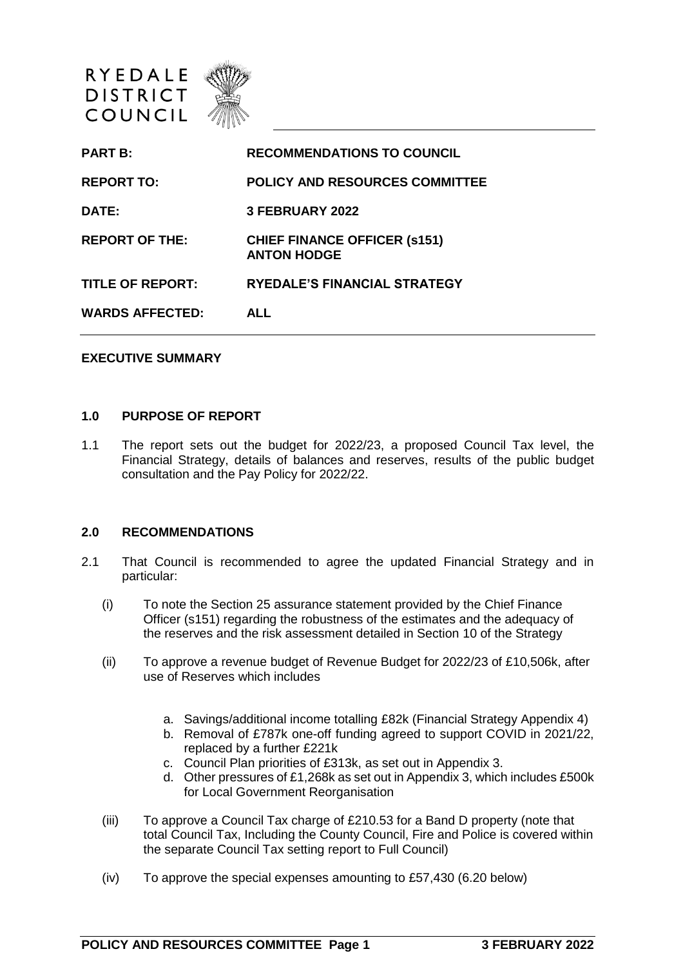

| <b>PART B:</b>         | <b>RECOMMENDATIONS TO COUNCIL</b>                          |
|------------------------|------------------------------------------------------------|
| <b>REPORT TO:</b>      | <b>POLICY AND RESOURCES COMMITTEE</b>                      |
| <b>DATE:</b>           | <b>3 FEBRUARY 2022</b>                                     |
| <b>REPORT OF THE:</b>  | <b>CHIEF FINANCE OFFICER (\$151)</b><br><b>ANTON HODGE</b> |
| TITLE OF REPORT:       | <b>RYEDALE'S FINANCIAL STRATEGY</b>                        |
| <b>WARDS AFFECTED:</b> | <b>ALL</b>                                                 |
|                        |                                                            |

### **EXECUTIVE SUMMARY**

#### **1.0 PURPOSE OF REPORT**

1.1 The report sets out the budget for 2022/23, a proposed Council Tax level, the Financial Strategy, details of balances and reserves, results of the public budget consultation and the Pay Policy for 2022/22.

#### **2.0 RECOMMENDATIONS**

- 2.1 That Council is recommended to agree the updated Financial Strategy and in particular:
	- (i) To note the Section 25 assurance statement provided by the Chief Finance Officer (s151) regarding the robustness of the estimates and the adequacy of the reserves and the risk assessment detailed in Section 10 of the Strategy
	- (ii) To approve a revenue budget of Revenue Budget for 2022/23 of £10,506k, after use of Reserves which includes
		- a. Savings/additional income totalling £82k (Financial Strategy Appendix 4)
		- b. Removal of £787k one-off funding agreed to support COVID in 2021/22, replaced by a further £221k
		- c. Council Plan priorities of £313k, as set out in Appendix 3.
		- d. Other pressures of £1,268k as set out in Appendix 3, which includes £500k for Local Government Reorganisation
	- (iii) To approve a Council Tax charge of £210.53 for a Band D property (note that total Council Tax, Including the County Council, Fire and Police is covered within the separate Council Tax setting report to Full Council)
	- (iv) To approve the special expenses amounting to £57,430 (6.20 below)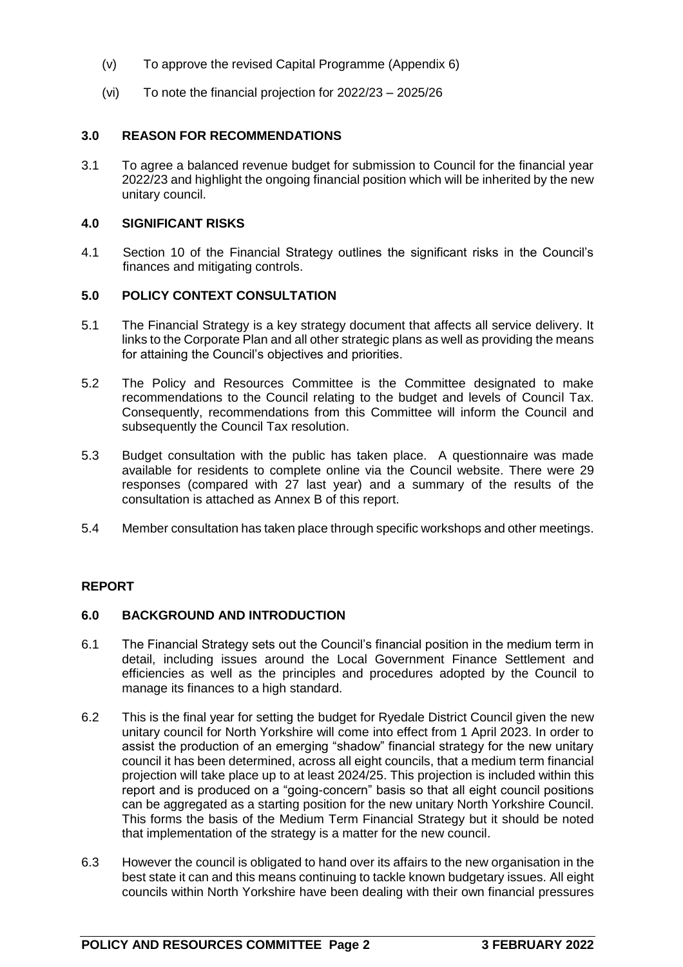- (v) To approve the revised Capital Programme (Appendix 6)
- (vi) To note the financial projection for 2022/23 2025/26

# **3.0 REASON FOR RECOMMENDATIONS**

3.1 To agree a balanced revenue budget for submission to Council for the financial year 2022/23 and highlight the ongoing financial position which will be inherited by the new unitary council.

### **4.0 SIGNIFICANT RISKS**

4.1 Section 10 of the Financial Strategy outlines the significant risks in the Council's finances and mitigating controls.

# **5.0 POLICY CONTEXT CONSULTATION**

- 5.1 The Financial Strategy is a key strategy document that affects all service delivery. It links to the Corporate Plan and all other strategic plans as well as providing the means for attaining the Council's objectives and priorities.
- 5.2 The Policy and Resources Committee is the Committee designated to make recommendations to the Council relating to the budget and levels of Council Tax. Consequently, recommendations from this Committee will inform the Council and subsequently the Council Tax resolution.
- 5.3 Budget consultation with the public has taken place. A questionnaire was made available for residents to complete online via the Council website. There were 29 responses (compared with 27 last year) and a summary of the results of the consultation is attached as Annex B of this report.
- 5.4 Member consultation has taken place through specific workshops and other meetings.

### **REPORT**

### **6.0 BACKGROUND AND INTRODUCTION**

- 6.1 The Financial Strategy sets out the Council's financial position in the medium term in detail, including issues around the Local Government Finance Settlement and efficiencies as well as the principles and procedures adopted by the Council to manage its finances to a high standard.
- 6.2 This is the final year for setting the budget for Ryedale District Council given the new unitary council for North Yorkshire will come into effect from 1 April 2023. In order to assist the production of an emerging "shadow" financial strategy for the new unitary council it has been determined, across all eight councils, that a medium term financial projection will take place up to at least 2024/25. This projection is included within this report and is produced on a "going-concern" basis so that all eight council positions can be aggregated as a starting position for the new unitary North Yorkshire Council. This forms the basis of the Medium Term Financial Strategy but it should be noted that implementation of the strategy is a matter for the new council.
- 6.3 However the council is obligated to hand over its affairs to the new organisation in the best state it can and this means continuing to tackle known budgetary issues. All eight councils within North Yorkshire have been dealing with their own financial pressures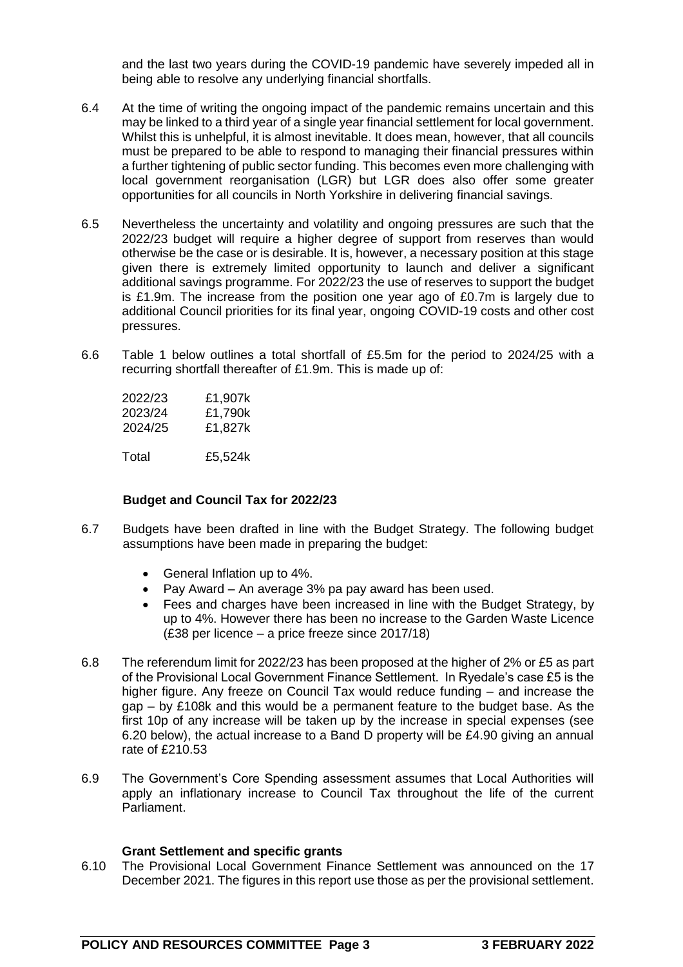and the last two years during the COVID-19 pandemic have severely impeded all in being able to resolve any underlying financial shortfalls.

- 6.4 At the time of writing the ongoing impact of the pandemic remains uncertain and this may be linked to a third year of a single year financial settlement for local government. Whilst this is unhelpful, it is almost inevitable. It does mean, however, that all councils must be prepared to be able to respond to managing their financial pressures within a further tightening of public sector funding. This becomes even more challenging with local government reorganisation (LGR) but LGR does also offer some greater opportunities for all councils in North Yorkshire in delivering financial savings.
- 6.5 Nevertheless the uncertainty and volatility and ongoing pressures are such that the 2022/23 budget will require a higher degree of support from reserves than would otherwise be the case or is desirable. It is, however, a necessary position at this stage given there is extremely limited opportunity to launch and deliver a significant additional savings programme. For 2022/23 the use of reserves to support the budget is £1.9m. The increase from the position one year ago of £0.7m is largely due to additional Council priorities for its final year, ongoing COVID-19 costs and other cost pressures.
- 6.6 Table 1 below outlines a total shortfall of £5.5m for the period to 2024/25 with a recurring shortfall thereafter of £1.9m. This is made up of:

| 2022/23 | £1,907k |
|---------|---------|
| 2023/24 | £1,790k |
| 2024/25 | £1.827k |
|         |         |

Total £5,524k

### **Budget and Council Tax for 2022/23**

- 6.7 Budgets have been drafted in line with the Budget Strategy. The following budget assumptions have been made in preparing the budget:
	- General Inflation up to 4%.
	- Pay Award An average 3% pa pay award has been used.
	- Fees and charges have been increased in line with the Budget Strategy, by up to 4%. However there has been no increase to the Garden Waste Licence (£38 per licence – a price freeze since 2017/18)
- 6.8 The referendum limit for 2022/23 has been proposed at the higher of 2% or £5 as part of the Provisional Local Government Finance Settlement. In Ryedale's case £5 is the higher figure. Any freeze on Council Tax would reduce funding – and increase the gap – by £108k and this would be a permanent feature to the budget base. As the first 10p of any increase will be taken up by the increase in special expenses (see 6.20 below), the actual increase to a Band D property will be £4.90 giving an annual rate of £210.53
- 6.9 The Government's Core Spending assessment assumes that Local Authorities will apply an inflationary increase to Council Tax throughout the life of the current Parliament.

### **Grant Settlement and specific grants**

6.10 The Provisional Local Government Finance Settlement was announced on the 17 December 2021. The figures in this report use those as per the provisional settlement.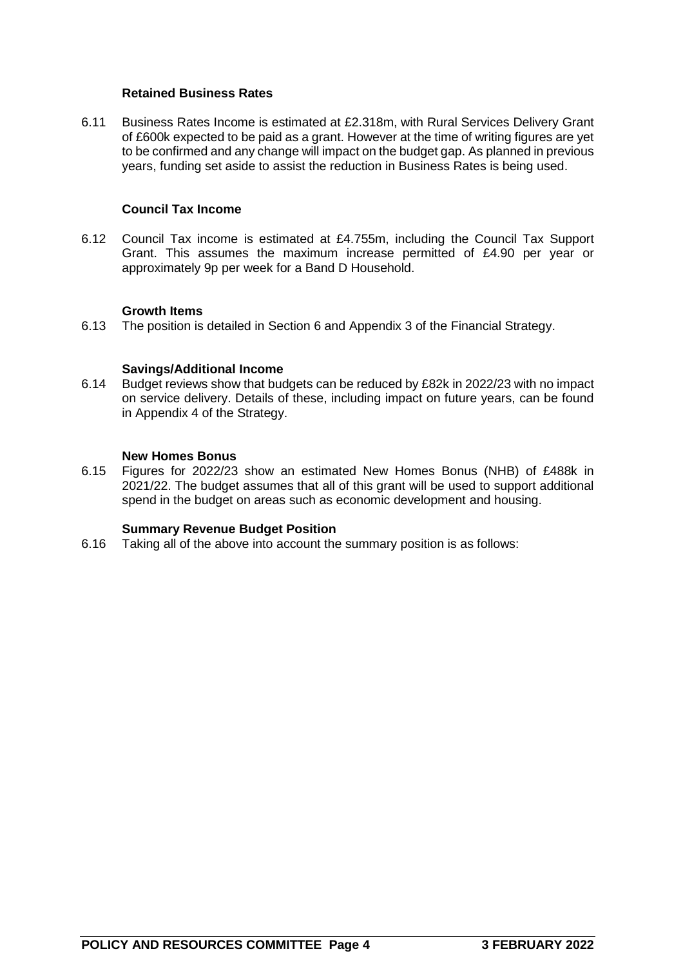### **Retained Business Rates**

6.11 Business Rates Income is estimated at £2.318m, with Rural Services Delivery Grant of £600k expected to be paid as a grant. However at the time of writing figures are yet to be confirmed and any change will impact on the budget gap. As planned in previous years, funding set aside to assist the reduction in Business Rates is being used.

### **Council Tax Income**

6.12 Council Tax income is estimated at £4.755m, including the Council Tax Support Grant. This assumes the maximum increase permitted of £4.90 per year or approximately 9p per week for a Band D Household.

#### **Growth Items**

6.13 The position is detailed in Section 6 and Appendix 3 of the Financial Strategy.

#### **Savings/Additional Income**

6.14 Budget reviews show that budgets can be reduced by £82k in 2022/23 with no impact on service delivery. Details of these, including impact on future years, can be found in Appendix 4 of the Strategy.

#### **New Homes Bonus**

6.15 Figures for 2022/23 show an estimated New Homes Bonus (NHB) of £488k in 2021/22. The budget assumes that all of this grant will be used to support additional spend in the budget on areas such as economic development and housing.

#### **Summary Revenue Budget Position**

6.16 Taking all of the above into account the summary position is as follows: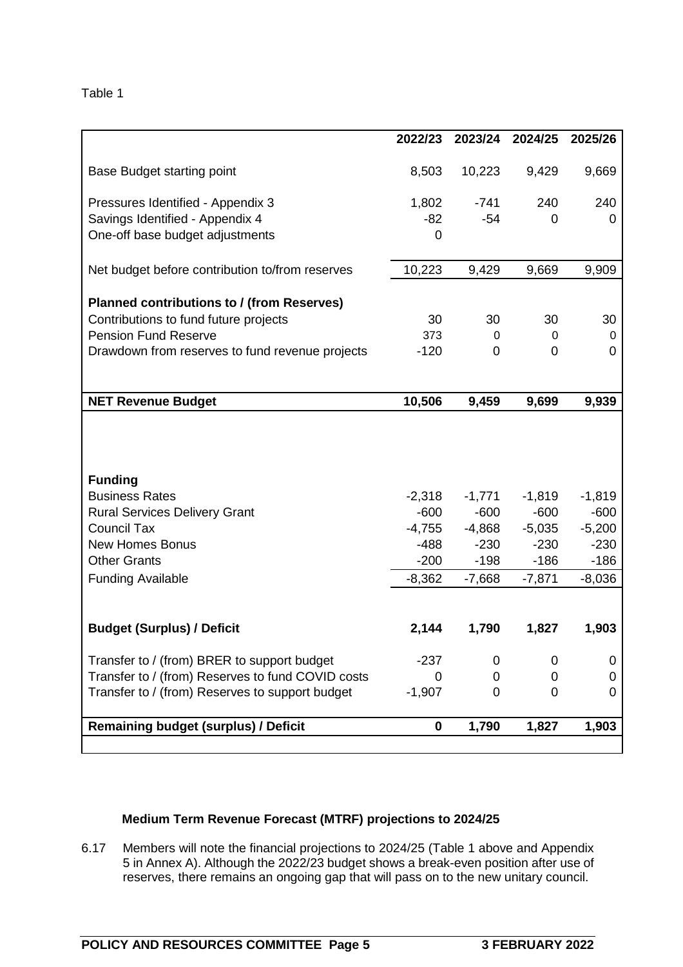|                                                   | 2022/23  | 2023/24  | 2024/25  | 2025/26  |
|---------------------------------------------------|----------|----------|----------|----------|
|                                                   |          |          |          |          |
| Base Budget starting point                        | 8,503    | 10,223   | 9,429    | 9,669    |
| Pressures Identified - Appendix 3                 | 1,802    | $-741$   | 240      | 240      |
| Savings Identified - Appendix 4                   | $-82$    | $-54$    | 0        | 0        |
| One-off base budget adjustments                   | 0        |          |          |          |
|                                                   |          |          |          |          |
| Net budget before contribution to/from reserves   | 10,223   | 9,429    | 9,669    | 9,909    |
| Planned contributions to / (from Reserves)        |          |          |          |          |
| Contributions to fund future projects             | 30       | 30       | 30       | 30       |
| <b>Pension Fund Reserve</b>                       | 373      | 0        | 0        | 0        |
| Drawdown from reserves to fund revenue projects   | $-120$   | 0        | 0        | 0        |
|                                                   |          |          |          |          |
|                                                   |          |          |          |          |
| <b>NET Revenue Budget</b>                         | 10,506   | 9,459    | 9,699    | 9,939    |
|                                                   |          |          |          |          |
|                                                   |          |          |          |          |
|                                                   |          |          |          |          |
| <b>Funding</b>                                    |          |          |          |          |
| <b>Business Rates</b>                             | $-2,318$ | $-1,771$ | $-1,819$ | $-1,819$ |
| <b>Rural Services Delivery Grant</b>              | $-600$   | $-600$   | $-600$   | $-600$   |
| <b>Council Tax</b>                                | $-4,755$ | $-4,868$ | $-5,035$ | $-5,200$ |
| <b>New Homes Bonus</b>                            | $-488$   | $-230$   | $-230$   | $-230$   |
| <b>Other Grants</b>                               | $-200$   | $-198$   | $-186$   | $-186$   |
| <b>Funding Available</b>                          | $-8,362$ | $-7,668$ | $-7,871$ | $-8,036$ |
|                                                   |          |          |          |          |
| <b>Budget (Surplus) / Deficit</b>                 | 2,144    | 1,790    | 1,827    | 1,903    |
|                                                   |          |          |          |          |
| Transfer to / (from) BRER to support budget       | $-237$   | 0        | 0        | 0        |
| Transfer to / (from) Reserves to fund COVID costs | 0        | 0        | 0        | 0        |
| Transfer to / (from) Reserves to support budget   | $-1,907$ | $\Omega$ | 0        | 0        |
|                                                   |          |          |          |          |
| <b>Remaining budget (surplus) / Deficit</b>       | 0        | 1,790    | 1,827    | 1,903    |
|                                                   |          |          |          |          |

# **Medium Term Revenue Forecast (MTRF) projections to 2024/25**

6.17 Members will note the financial projections to 2024/25 (Table 1 above and Appendix 5 in Annex A). Although the 2022/23 budget shows a break-even position after use of reserves, there remains an ongoing gap that will pass on to the new unitary council.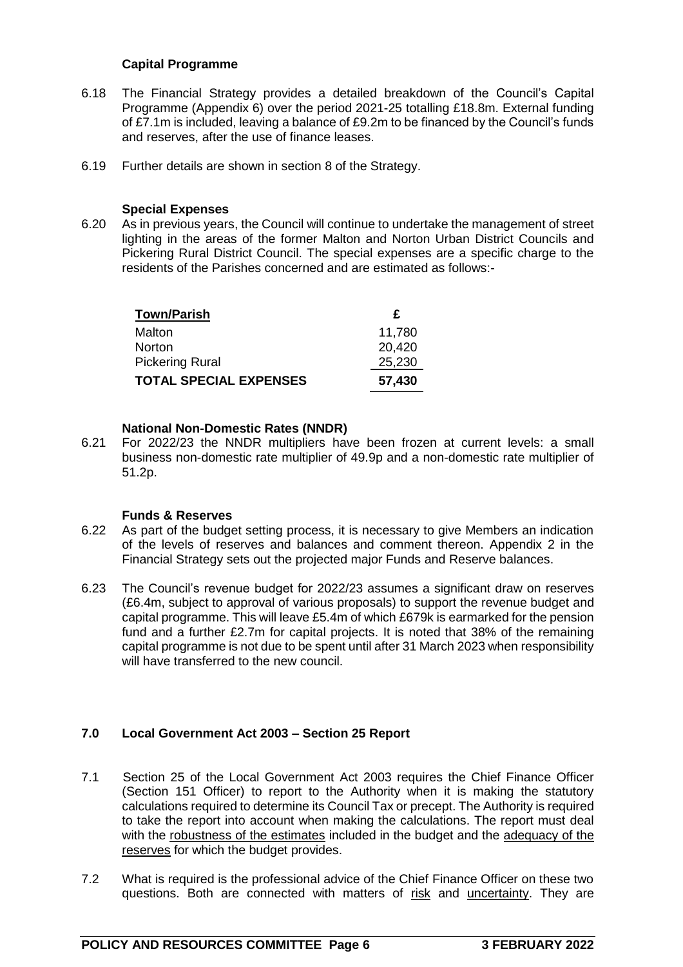## **Capital Programme**

- 6.18 The Financial Strategy provides a detailed breakdown of the Council's Capital Programme (Appendix 6) over the period 2021-25 totalling £18.8m. External funding of £7.1m is included, leaving a balance of £9.2m to be financed by the Council's funds and reserves, after the use of finance leases.
- 6.19 Further details are shown in section 8 of the Strategy.

### **Special Expenses**

6.20 As in previous years, the Council will continue to undertake the management of street lighting in the areas of the former Malton and Norton Urban District Councils and Pickering Rural District Council. The special expenses are a specific charge to the residents of the Parishes concerned and are estimated as follows:-

| <b>Town/Parish</b>            | £      |
|-------------------------------|--------|
| Malton                        | 11,780 |
| <b>Norton</b>                 | 20,420 |
| <b>Pickering Rural</b>        | 25,230 |
| <b>TOTAL SPECIAL EXPENSES</b> | 57,430 |

### **National Non-Domestic Rates (NNDR)**

6.21 For 2022/23 the NNDR multipliers have been frozen at current levels: a small business non-domestic rate multiplier of 49.9p and a non-domestic rate multiplier of 51.2p.

### **Funds & Reserves**

- 6.22 As part of the budget setting process, it is necessary to give Members an indication of the levels of reserves and balances and comment thereon. Appendix 2 in the Financial Strategy sets out the projected major Funds and Reserve balances.
- 6.23 The Council's revenue budget for 2022/23 assumes a significant draw on reserves (£6.4m, subject to approval of various proposals) to support the revenue budget and capital programme. This will leave £5.4m of which £679k is earmarked for the pension fund and a further £2.7m for capital projects. It is noted that 38% of the remaining capital programme is not due to be spent until after 31 March 2023 when responsibility will have transferred to the new council.

# **7.0 Local Government Act 2003 – Section 25 Report**

- 7.1 Section 25 of the Local Government Act 2003 requires the Chief Finance Officer (Section 151 Officer) to report to the Authority when it is making the statutory calculations required to determine its Council Tax or precept. The Authority is required to take the report into account when making the calculations. The report must deal with the robustness of the estimates included in the budget and the adequacy of the reserves for which the budget provides.
- 7.2 What is required is the professional advice of the Chief Finance Officer on these two questions. Both are connected with matters of risk and uncertainty. They are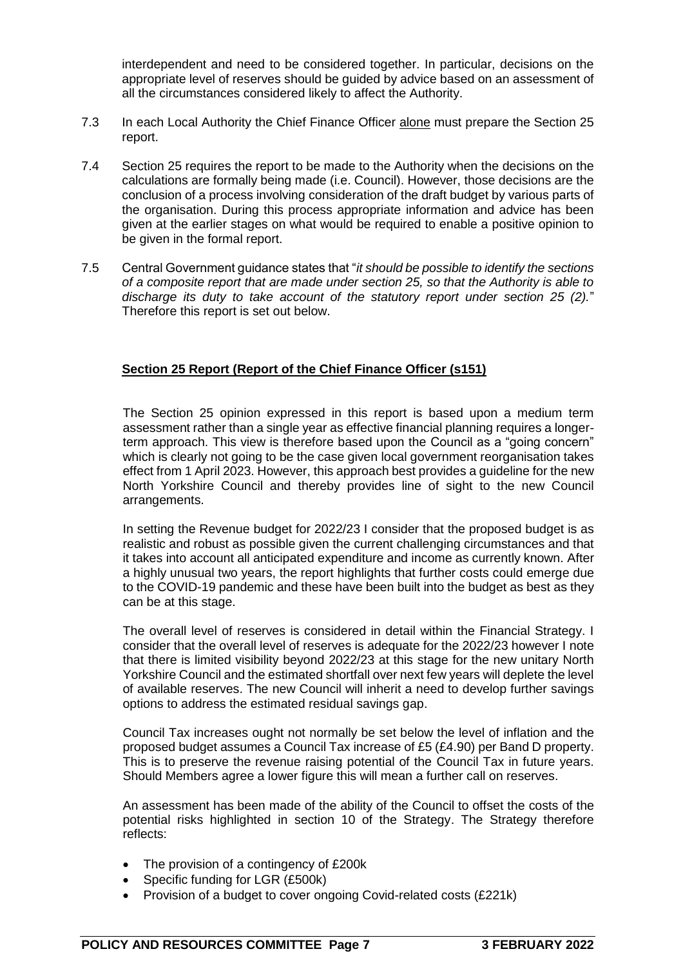interdependent and need to be considered together. In particular, decisions on the appropriate level of reserves should be guided by advice based on an assessment of all the circumstances considered likely to affect the Authority.

- 7.3 In each Local Authority the Chief Finance Officer alone must prepare the Section 25 report.
- 7.4 Section 25 requires the report to be made to the Authority when the decisions on the calculations are formally being made (i.e. Council). However, those decisions are the conclusion of a process involving consideration of the draft budget by various parts of the organisation. During this process appropriate information and advice has been given at the earlier stages on what would be required to enable a positive opinion to be given in the formal report.
- 7.5 Central Government guidance states that "*it should be possible to identify the sections of a composite report that are made under section 25, so that the Authority is able to discharge its duty to take account of the statutory report under section 25 (2).*" Therefore this report is set out below.

# **Section 25 Report (Report of the Chief Finance Officer (s151)**

The Section 25 opinion expressed in this report is based upon a medium term assessment rather than a single year as effective financial planning requires a longerterm approach. This view is therefore based upon the Council as a "going concern" which is clearly not going to be the case given local government reorganisation takes effect from 1 April 2023. However, this approach best provides a guideline for the new North Yorkshire Council and thereby provides line of sight to the new Council arrangements.

In setting the Revenue budget for 2022/23 I consider that the proposed budget is as realistic and robust as possible given the current challenging circumstances and that it takes into account all anticipated expenditure and income as currently known. After a highly unusual two years, the report highlights that further costs could emerge due to the COVID-19 pandemic and these have been built into the budget as best as they can be at this stage.

The overall level of reserves is considered in detail within the Financial Strategy. I consider that the overall level of reserves is adequate for the 2022/23 however I note that there is limited visibility beyond 2022/23 at this stage for the new unitary North Yorkshire Council and the estimated shortfall over next few years will deplete the level of available reserves. The new Council will inherit a need to develop further savings options to address the estimated residual savings gap.

Council Tax increases ought not normally be set below the level of inflation and the proposed budget assumes a Council Tax increase of £5 (£4.90) per Band D property. This is to preserve the revenue raising potential of the Council Tax in future years. Should Members agree a lower figure this will mean a further call on reserves.

An assessment has been made of the ability of the Council to offset the costs of the potential risks highlighted in section 10 of the Strategy. The Strategy therefore reflects:

- The provision of a contingency of £200k
- Specific funding for LGR (£500k)
- Provision of a budget to cover ongoing Covid-related costs (£221k)